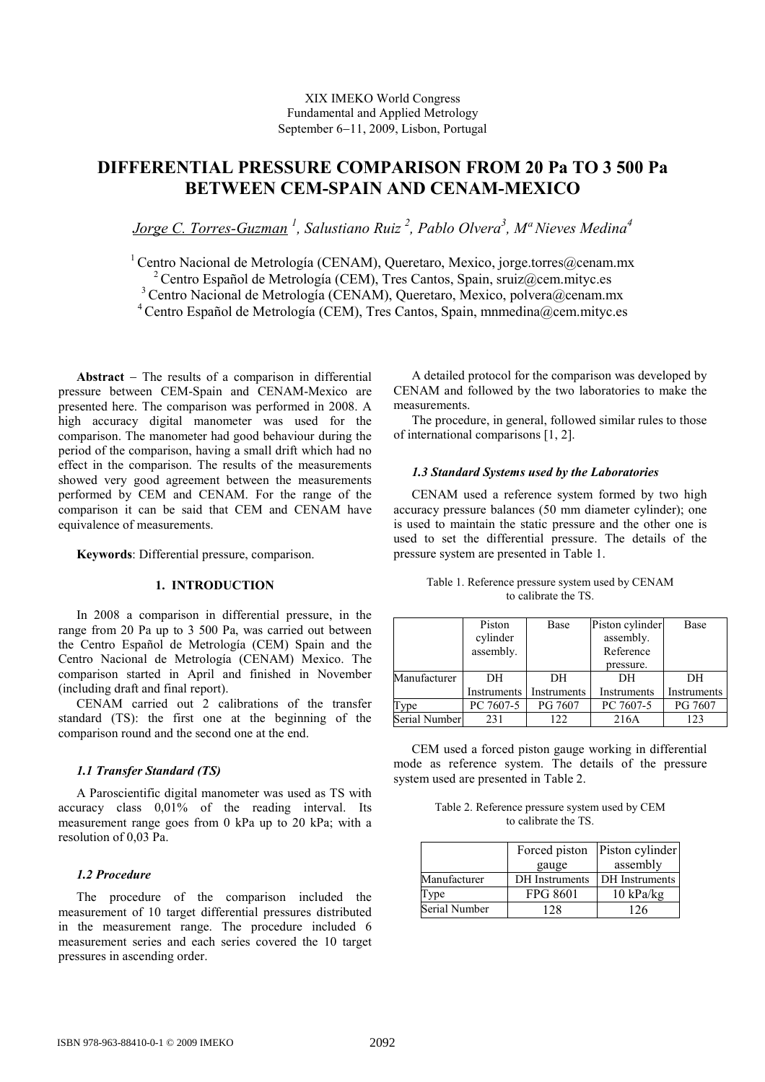### XIX IMEKO World Congress Fundamental and Applied Metrology September 6−11, 2009, Lisbon, Portugal

# DIFFERENTIAL PRESSURE COMPARISON FROM 20 Pa TO 3 500 Pa BETWEEN CEM-SPAIN AND CENAM-MEXICO

Jorge C. Torres-Guzman<sup>1</sup>, Salustiano Ruiz<sup>2</sup>, Pablo Olvera<sup>3</sup>, M<sup>a</sup> Nieves Medina<sup>4</sup>

<sup>1</sup> Centro Nacional de Metrología (CENAM), Queretaro, Mexico, jorge.torres@cenam.mx <sup>2</sup> Centro Español de Metrología (CEM), Tres Cantos, Spain, sruiz@cem.mityc.es <sup>3</sup> Centro Nacional de Metrología (CENAM), Queretaro, Mexico, polvera@cenam.mx

<sup>4</sup> Centro Español de Metrología (CEM), Tres Cantos, Spain, mnmedina@cem.mityc.es

Abstract − The results of a comparison in differential pressure between CEM-Spain and CENAM-Mexico are presented here. The comparison was performed in 2008. A high accuracy digital manometer was used for the comparison. The manometer had good behaviour during the period of the comparison, having a small drift which had no effect in the comparison. The results of the measurements showed very good agreement between the measurements performed by CEM and CENAM. For the range of the comparison it can be said that CEM and CENAM have equivalence of measurements.

Keywords: Differential pressure, comparison.

## 1. INTRODUCTION

In 2008 a comparison in differential pressure, in the range from 20 Pa up to 3 500 Pa, was carried out between the Centro Español de Metrología (CEM) Spain and the Centro Nacional de Metrología (CENAM) Mexico. The comparison started in April and finished in November (including draft and final report).

CENAM carried out 2 calibrations of the transfer standard (TS): the first one at the beginning of the comparison round and the second one at the end.

## 1.1 Transfer Standard (TS)

A Paroscientific digital manometer was used as TS with accuracy class 0,01% of the reading interval. Its measurement range goes from 0 kPa up to 20 kPa; with a resolution of 0,03 Pa.

## 1.2 Procedure

The procedure of the comparison included the measurement of 10 target differential pressures distributed in the measurement range. The procedure included 6 measurement series and each series covered the 10 target pressures in ascending order.

A detailed protocol for the comparison was developed by CENAM and followed by the two laboratories to make the measurements.

The procedure, in general, followed similar rules to those of international comparisons [1, 2].

#### 1.3 Standard Systems used by the Laboratories

CENAM used a reference system formed by two high accuracy pressure balances (50 mm diameter cylinder); one is used to maintain the static pressure and the other one is used to set the differential pressure. The details of the pressure system are presented in Table 1.

|               | Piston<br>cylinder<br>assembly. | Base              | Piston cylinder<br>assembly.<br>Reference | Base              |
|---------------|---------------------------------|-------------------|-------------------------------------------|-------------------|
| Manufacturer  | DН<br>Instruments               | DН<br>Instruments | pressure.<br>DН<br>Instruments            | DH<br>Instruments |
| Type          | PC 7607-5                       | PG 7607           | PC 7607-5                                 | PG 7607           |
| Serial Number | 231                             | 122.              | 216A                                      | 123               |

Table 1. Reference pressure system used by CENAM to calibrate the TS.

CEM used a forced piston gauge working in differential mode as reference system. The details of the pressure system used are presented in Table 2.

| Table 2. Reference pressure system used by CEM |
|------------------------------------------------|
| to calibrate the TS.                           |

|               |                 | Forced piston Piston cylinder |
|---------------|-----------------|-------------------------------|
|               | gauge           | assembly                      |
| Manufacturer  | DH Instruments  | DH Instruments                |
| Type          | <b>FPG 8601</b> | $10 \text{ kPa/kg}$           |
| Serial Number | .28             | 126                           |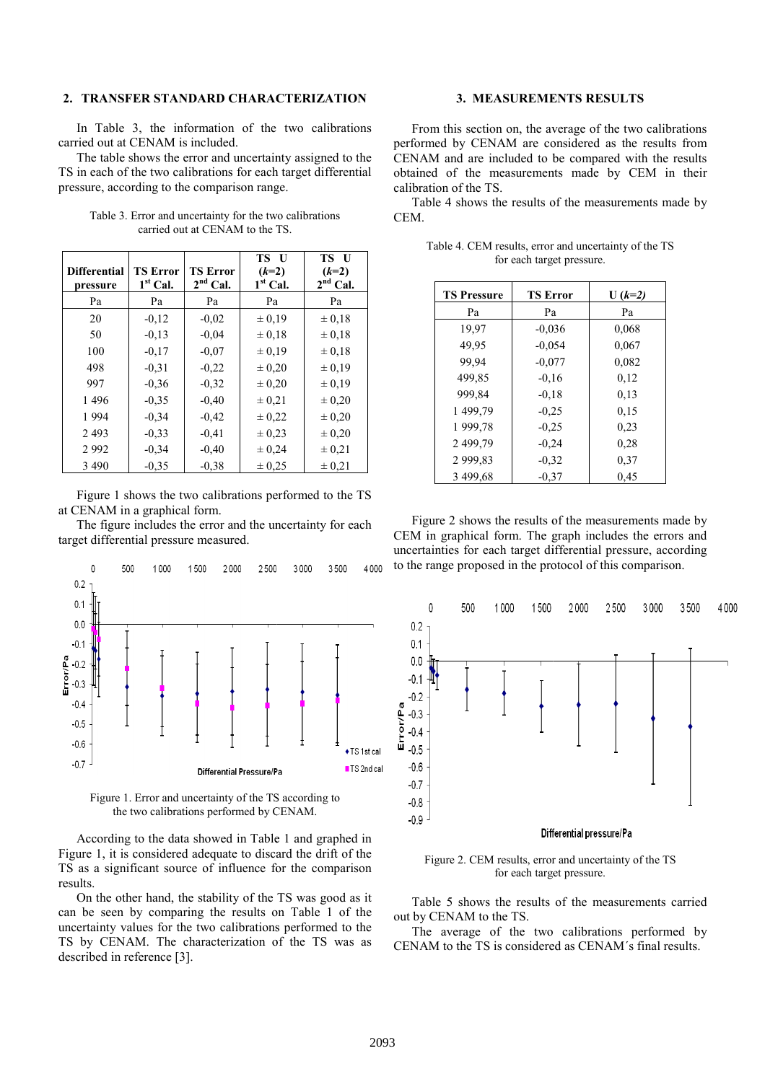#### 2. TRANSFER STANDARD CHARACTERIZATION

In Table 3, the information of the two calibrations carried out at CENAM is included.

The table shows the error and uncertainty assigned to the TS in each of the two calibrations for each target differential pressure, according to the comparison range.

| <b>Differential</b><br>pressure | <b>TS Error</b><br>$1st$ Cal. | <b>TS Error</b><br>$2nd$ Cal. | TS U<br>$(k=2)$<br>$1st$ Cal. | TS U<br>$(k=2)$<br>$2nd$ Cal. |
|---------------------------------|-------------------------------|-------------------------------|-------------------------------|-------------------------------|
| Pa                              | Pa                            | Pa                            | Pa                            | Pa                            |
| 20                              | $-0.12$                       | $-0.02$                       | ± 0.19                        | $\pm 0.18$                    |
| 50                              | $-0.13$                       | $-0.04$                       | $\pm 0.18$                    | $\pm 0.18$                    |
| 100                             | $-0.17$                       | $-0.07$                       | ± 0.19                        | $\pm 0.18$                    |
| 498                             | $-0.31$                       | $-0.22$                       | $\pm 0.20$                    | $\pm 0.19$                    |
| 997                             | $-0.36$                       | $-0.32$                       | $\pm 0.20$                    | $\pm 0.19$                    |
| 1496                            | $-0.35$                       | $-0.40$                       | ± 0.21                        | ± 0,20                        |
| 1994                            | $-0.34$                       | $-0.42$                       | ± 0,22                        | ± 0,20                        |
| 2 4 9 3                         | $-0.33$                       | $-0.41$                       | $\pm 0.23$                    | $\pm 0.20$                    |
| 2992                            | $-0.34$                       | $-0.40$                       | $\pm 0.24$                    | $\pm 0,21$                    |
| 3 4 9 0                         | $-0.35$                       | $-0.38$                       | ± 0.25                        | ± 0,21                        |

Table 3. Error and uncertainty for the two calibrations carried out at CENAM to the TS.

Figure 1 shows the two calibrations performed to the TS at CENAM in a graphical form.

The figure includes the error and the uncertainty for each target differential pressure measured.



Figure 1. Error and uncertainty of the TS according to the two calibrations performed by CENAM.

According to the data showed in Table 1 and graphed in Figure 1, it is considered adequate to discard the drift of the TS as a significant source of influence for the comparison results.

On the other hand, the stability of the TS was good as it can be seen by comparing the results on Table 1 of the uncertainty values for the two calibrations performed to the TS by CENAM. The characterization of the TS was as described in reference [3].

#### 3. MEASUREMENTS RESULTS

From this section on, the average of the two calibrations formed by CENAM are considered as the results from performed by CENAM are considered as CENAM and are included to be compared with the results obtained of the measurement measurements made by CEM in their calibration of the TS.

Table 4 shows the results of the measurements made by CEM.

| <b>TS Pressure</b> | <b>TS Error</b> | $U (k=2)$ |
|--------------------|-----------------|-----------|
| Pa                 | Pa              | Pa        |
| 19.97              | $-0.036$        | 0,068     |
| 49.95              | $-0.054$        | 0,067     |
| 99.94              | $-0.077$        | 0.082     |
| 499,85             | $-0.16$         | 0,12      |
| 999.84             | $-0.18$         | 0,13      |
| 1499,79            | $-0.25$         | 0.15      |
| 1999.78            | $-0.25$         | 0.23      |
| 2 499,79           | $-0.24$         | 0,28      |
| 2999,83            | $-0.32$         | 0.37      |
| 3 499,68           | $-0.37$         | 0.45      |

Table 4. CEM results, error and uncertainty of the TS for each target pressure.

Figure 2 shows the results of the measurements made by CEM in graphical form. The graph includes the errors and uncertainties for each target differential pressure, according to the range proposed in the protocol of this comparison.



Figure 2. CEM results, error and uncertainty of the TS for each target pressure.

Table 5 shows the results of the measurements carried out by CENAM to the TS.

The average of the two calibrations performed by CENAM to the TS is considered as CENAM's final results.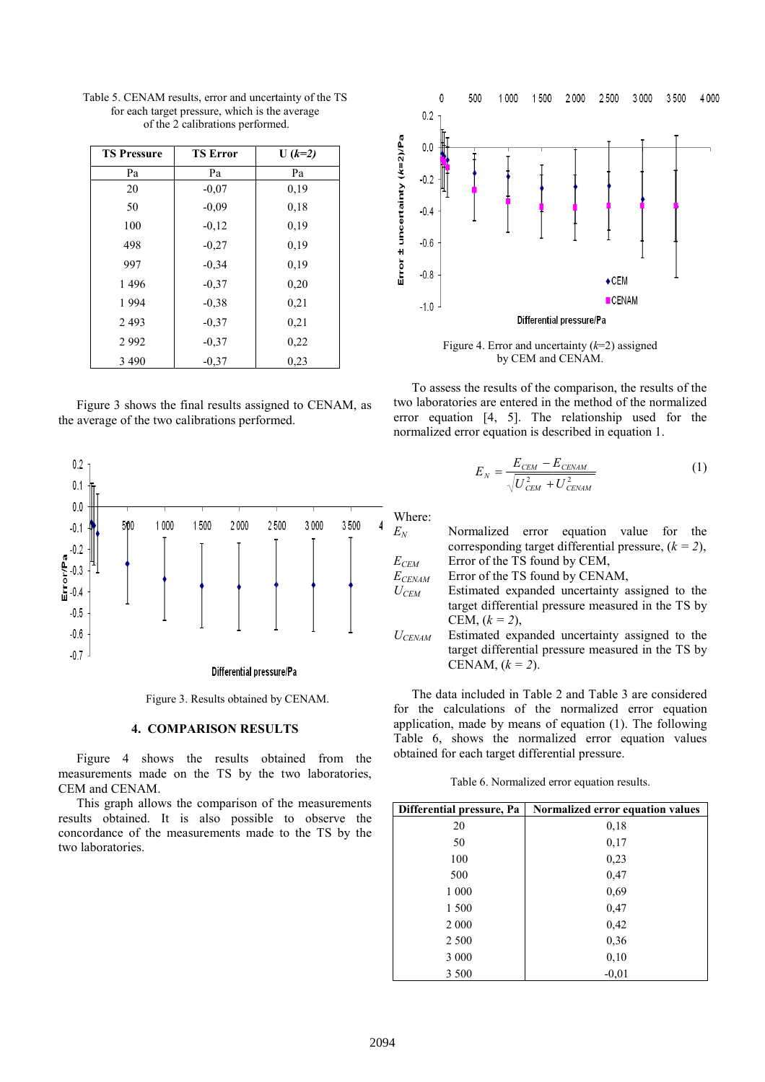| <b>TS Pressure</b> | <b>TS Error</b> | $U (k=2)$ |
|--------------------|-----------------|-----------|
| Pa                 | Pa              | Pa        |
| 20                 | $-0,07$         | 0,19      |
| 50                 | $-0,09$         | 0,18      |
| 100                | $-0,12$         | 0.19      |
| 498                | $-0,27$         | 0,19      |
| 997                | $-0.34$         | 0.19      |
| 1496               | $-0.37$         | 0,20      |
| 1994               | $-0.38$         | 0,21      |
| 2493               | $-0,37$         | 0,21      |
| 2992               | $-0,37$         | 0,22      |
| 3 4 9 0            | $-0,37$         | 0,23      |

Table 5. CENAM results, error and uncertainty of the TS for each target pressure, which is the average of the 2 calibrations performed performed.

Figure 3 shows the final results assigned to CENAM, as the average of the two calibrations performed.



Figure 3. Results obtained by CENAM.

#### 4. COMPARISON RESULTS

Figure 4 shows the results obtained from the measurements made on the TS by the two laboratories, CEM and CENAM.

This graph allows the comparison of the measurements results obtained. It is also possible to observe the concordance of the measurements made to the TS by the two laboratories.



Figure 4. Error and uncertainty  $(k=2)$  assigned by CEM and CENAM.

To assess the results of the comparison, the results of the two laboratories are entered in the method of the normalized error equation [4, 5]. The relationship used for the normalized error equation is described in equation 1 1.

$$
E_N = \frac{E_{CEM} - E_{CEMAM}}{\sqrt{U_{CEM}^2 + U_{CEMAM}^2}}
$$
(1)

Where:

 $E_N$  Normalized error equation value for the Normalized error equation value for the corresponding target differential pressure,  $(k = 2)$ ,  $E_{CEM}$  Error of the TS found by CEM,  $E_{CENAM}$  Error of the TS found by CENAM,  $U_{CEM}$  Estimated expanded uncertainty assigned to the target differential pressure measured in the TS by CEM,  $(k = 2)$ ,  $U_{CENAM}$  Estimated expanded uncertainty assigned to the target differential pressure measured in the TS by

The data included in Table 2 and Table 3 are considered for the calculations of the normalized error equation application, made by means of equation (1). The following Table 6, shows the normalized error equation values obtained for each target differential pressure.

CENAM,  $(k = 2)$ .

Table 6. Normalized error equation results.

| Differential pressure, Pa | Normalized error equation values |
|---------------------------|----------------------------------|
| 20                        | 0,18                             |
| 50                        | 0,17                             |
| 100                       | 0,23                             |
| 500                       | 0,47                             |
| 1 000                     | 0,69                             |
| 1 500                     | 0,47                             |
| $2\ 000$                  | 0,42                             |
| 2 500                     | 0,36                             |
| 3 000                     | 0,10                             |
| 3 500                     | $-0.01$                          |